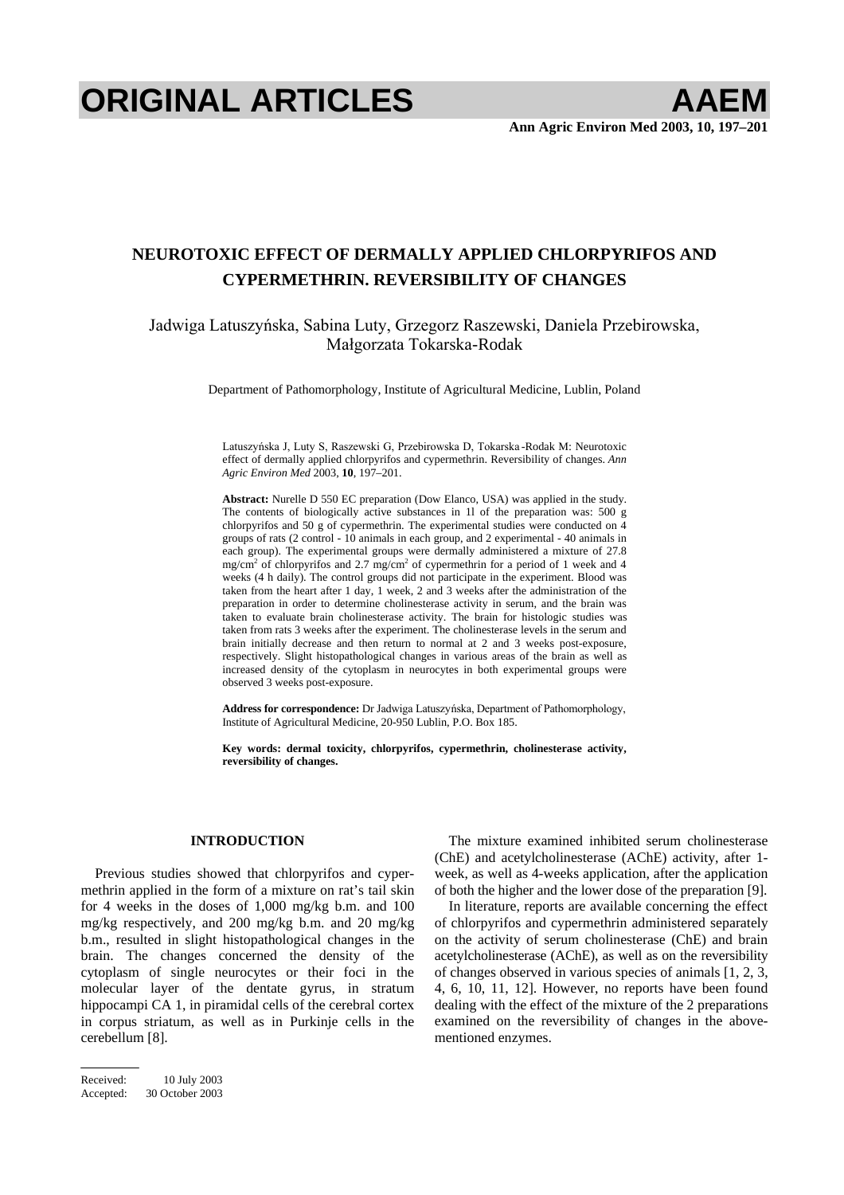# **ORIGINAL ARTICLES AAEM**

# **NEUROTOXIC EFFECT OF DERMALLY APPLIED CHLORPYRIFOS AND CYPERMETHRIN. REVERSIBILITY OF CHANGES**

# Jadwiga Latuszyńska, Sabina Luty, Grzegorz Raszewski, Daniela Przebirowska, Małgorzata Tokarska-Rodak

Department of Pathomorphology, Institute of Agricultural Medicine, Lublin, Poland

Latuszyńska J, Luty S, Raszewski G, Przebirowska D, Tokarska-Rodak M: Neurotoxic effect of dermally applied chlorpyrifos and cypermethrin. Reversibility of changes. *Ann Agric Environ Med* 2003, **10**, 197–201.

**Abstract:** Nurelle D 550 EC preparation (Dow Elanco, USA) was applied in the study. The contents of biologically active substances in 1l of the preparation was: 500 g chlorpyrifos and 50 g of cypermethrin. The experimental studies were conducted on 4 groups of rats (2 control - 10 animals in each group, and 2 experimental - 40 animals in each group). The experimental groups were dermally administered a mixture of 27.8 mg/cm<sup>2</sup> of chlorpyrifos and 2.7 mg/cm<sup>2</sup> of cypermethrin for a period of 1 week and 4 weeks (4 h daily). The control groups did not participate in the experiment. Blood was taken from the heart after 1 day, 1 week, 2 and 3 weeks after the administration of the preparation in order to determine cholinesterase activity in serum, and the brain was taken to evaluate brain cholinesterase activity. The brain for histologic studies was taken from rats 3 weeks after the experiment. The cholinesterase levels in the serum and brain initially decrease and then return to normal at 2 and 3 weeks post-exposure, respectively. Slight histopathological changes in various areas of the brain as well as increased density of the cytoplasm in neurocytes in both experimental groups were observed 3 weeks post-exposure.

Address for correspondence: Dr Jadwiga Latuszyńska, Department of Pathomorphology, Institute of Agricultural Medicine, 20-950 Lublin, P.O. Box 185.

**Key words: dermal toxicity, chlorpyrifos, cypermethrin, cholinesterase activity, reversibility of changes.** 

#### **INTRODUCTION**

Previous studies showed that chlorpyrifos and cypermethrin applied in the form of a mixture on rat's tail skin for 4 weeks in the doses of 1,000 mg/kg b.m. and 100 mg/kg respectively, and 200 mg/kg b.m. and 20 mg/kg b.m., resulted in slight histopathological changes in the brain. The changes concerned the density of the cytoplasm of single neurocytes or their foci in the molecular layer of the dentate gyrus, in stratum hippocampi CA 1, in piramidal cells of the cerebral cortex in corpus striatum, as well as in Purkinje cells in the cerebellum [8].

The mixture examined inhibited serum cholinesterase (ChE) and acetylcholinesterase (AChE) activity, after 1 week, as well as 4-weeks application, after the application of both the higher and the lower dose of the preparation [9].

In literature, reports are available concerning the effect of chlorpyrifos and cypermethrin administered separately on the activity of serum cholinesterase (ChE) and brain acetylcholinesterase (AChE), as well as on the reversibility of changes observed in various species of animals [1, 2, 3, 4, 6, 10, 11, 12]. However, no reports have been found dealing with the effect of the mixture of the 2 preparations examined on the reversibility of changes in the abovementioned enzymes.

Received: 10 July 2003 Accepted: 30 October 2003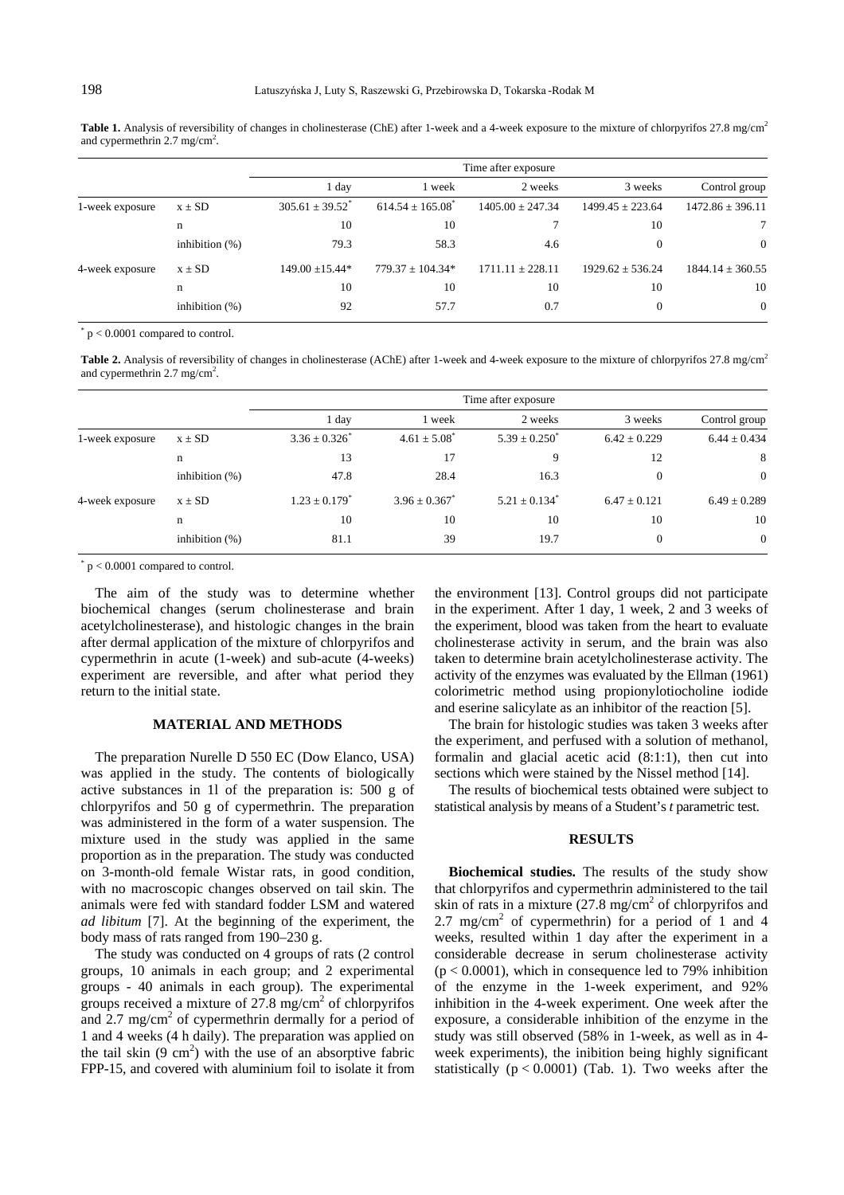Table 1. Analysis of reversibility of changes in cholinesterase (ChE) after 1-week and a 4-week exposure to the mixture of chlorpyrifos 27.8 mg/cm<sup>2</sup> and cypermethrin  $2.7 \text{ mg/cm}^2$ .

|                 |                   | Time after exposure             |                                  |                      |                      |                      |  |  |  |
|-----------------|-------------------|---------------------------------|----------------------------------|----------------------|----------------------|----------------------|--|--|--|
|                 |                   | 1 day                           | 1 week                           | 2 weeks              | 3 weeks              | Control group        |  |  |  |
| 1-week exposure | $x \pm SD$        | $305.61 \pm 39.52$ <sup>*</sup> | $614.54 \pm 165.08$ <sup>*</sup> | $1405.00 \pm 247.34$ | $1499.45 \pm 223.64$ | $1472.86 \pm 396.11$ |  |  |  |
|                 | n                 | 10                              | 10                               |                      | 10                   | 7                    |  |  |  |
|                 | inhibition $(\%)$ | 79.3                            | 58.3                             | 4.6                  | $\Omega$             | $\overline{0}$       |  |  |  |
| 4-week exposure | $x \pm SD$        | $149.00 \pm 15.44*$             | $779.37 \pm 104.34*$             | $1711.11 \pm 228.11$ | $1929.62 \pm 536.24$ | $1844.14 \pm 360.55$ |  |  |  |
|                 | n                 | 10                              | 10                               | 10                   | 10                   | 10                   |  |  |  |
|                 | inhibition $(\%)$ | 92                              | 57.7                             | 0.7                  |                      | $\overline{0}$       |  |  |  |

 $p < 0.0001$  compared to control.

Table 2. Analysis of reversibility of changes in cholinesterase (AChE) after 1-week and 4-week exposure to the mixture of chlorpyrifos 27.8 mg/cm<sup>2</sup> and cypermethrin 2.7 mg/cm<sup>2</sup>.

|                 |                   | Time after exposure           |                  |                               |                  |                  |  |  |
|-----------------|-------------------|-------------------------------|------------------|-------------------------------|------------------|------------------|--|--|
|                 |                   | 1 day                         | 1 week           | 2 weeks                       | 3 weeks          | Control group    |  |  |
| 1-week exposure | $x \pm SD$        | $3.36 \pm 0.326$ <sup>*</sup> | $4.61 \pm 5.08$  | $5.39 \pm 0.250^*$            | $6.42 \pm 0.229$ | $6.44 \pm 0.434$ |  |  |
|                 | n                 | 13                            | 17               | 9                             | 12               | 8                |  |  |
|                 | inhibition $(\%)$ | 47.8                          | 28.4             | 16.3                          |                  | $\overline{0}$   |  |  |
| 4-week exposure | $x \pm SD$        | $1.23 \pm 0.179$ <sup>*</sup> | $3.96 \pm 0.367$ | $5.21 \pm 0.134$ <sup>*</sup> | $6.47 \pm 0.121$ | $6.49 \pm 0.289$ |  |  |
|                 | n                 | 10                            | 10               | 10                            | 10               | 10               |  |  |
|                 | inhibition $(\%)$ | 81.1                          | 39               | 19.7                          |                  | $\overline{0}$   |  |  |

 $p < 0.0001$  compared to control.

The aim of the study was to determine whether biochemical changes (serum cholinesterase and brain acetylcholinesterase), and histologic changes in the brain after dermal application of the mixture of chlorpyrifos and cypermethrin in acute (1-week) and sub-acute (4-weeks) experiment are reversible, and after what period they return to the initial state.

## **MATERIAL AND METHODS**

The preparation Nurelle D 550 EC (Dow Elanco, USA) was applied in the study. The contents of biologically active substances in 1l of the preparation is: 500 g of chlorpyrifos and 50 g of cypermethrin. The preparation was administered in the form of a water suspension. The mixture used in the study was applied in the same proportion as in the preparation. The study was conducted on 3-month-old female Wistar rats, in good condition, with no macroscopic changes observed on tail skin. The animals were fed with standard fodder LSM and watered *ad libitum* [7]. At the beginning of the experiment, the body mass of rats ranged from 190–230 g.

The study was conducted on 4 groups of rats (2 control groups, 10 animals in each group; and 2 experimental groups - 40 animals in each group). The experimental groups received a mixture of  $27.8 \text{ mg/cm}^2$  of chlorpyrifos and  $2.7 \text{ mg/cm}^2$  of cypermethrin dermally for a period of 1 and 4 weeks (4 h daily). The preparation was applied on the tail skin  $(9 \text{ cm}^2)$  with the use of an absorptive fabric FPP-15, and covered with aluminium foil to isolate it from

the environment [13]. Control groups did not participate in the experiment. After 1 day, 1 week, 2 and 3 weeks of the experiment, blood was taken from the heart to evaluate cholinesterase activity in serum, and the brain was also taken to determine brain acetylcholinesterase activity. The activity of the enzymes was evaluated by the Ellman (1961) colorimetric method using propionylotiocholine iodide and eserine salicylate as an inhibitor of the reaction [5].

The brain for histologic studies was taken 3 weeks after the experiment, and perfused with a solution of methanol, formalin and glacial acetic acid (8:1:1), then cut into sections which were stained by the Nissel method [14].

The results of biochemical tests obtained were subject to statistical analysis by means of a Student's *t* parametric test.

#### **RESULTS**

**Biochemical studies.** The results of the study show that chlorpyrifos and cypermethrin administered to the tail skin of rats in a mixture  $(27.8 \text{ mg/cm}^2)$  of chlorpyrifos and 2.7 mg/cm<sup>2</sup> of cypermethrin) for a period of 1 and 4 weeks, resulted within 1 day after the experiment in a considerable decrease in serum cholinesterase activity  $(p < 0.0001)$ , which in consequence led to 79% inhibition of the enzyme in the 1-week experiment, and 92% inhibition in the 4-week experiment. One week after the exposure, a considerable inhibition of the enzyme in the study was still observed (58% in 1-week, as well as in 4 week experiments), the inibition being highly significant statistically  $(p < 0.0001)$  (Tab. 1). Two weeks after the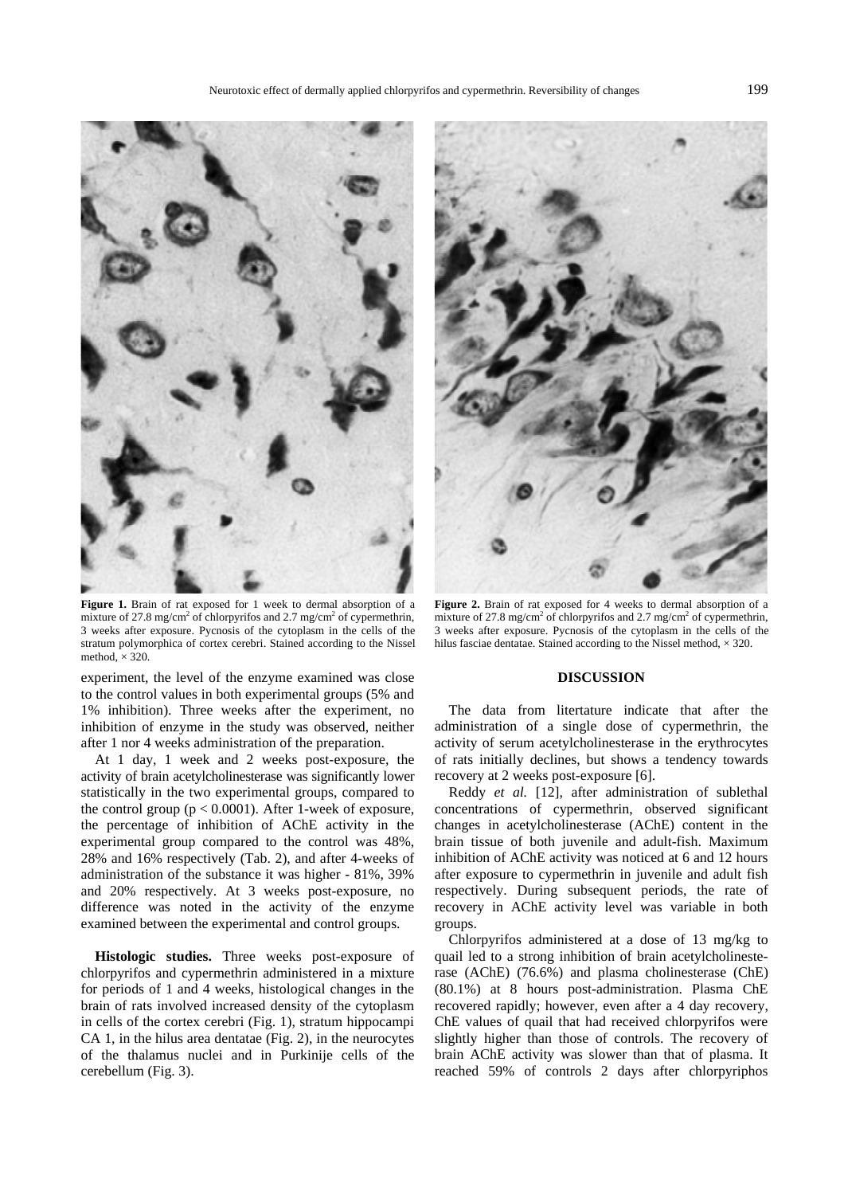

**Figure 1.** Brain of rat exposed for 1 week to dermal absorption of a mixture of 27.8 mg/cm<sup>2</sup> of chlorpyrifos and 2.7 mg/cm<sup>2</sup> of cypermethrin, 3 weeks after exposure. Pycnosis of the cytoplasm in the cells of the stratum polymorphica of cortex cerebri. Stained according to the Nissel method,  $\times$  320.

experiment, the level of the enzyme examined was close to the control values in both experimental groups (5% and 1% inhibition). Three weeks after the experiment, no inhibition of enzyme in the study was observed, neither after 1 nor 4 weeks administration of the preparation.

At 1 day, 1 week and 2 weeks post-exposure, the activity of brain acetylcholinesterase was significantly lower statistically in the two experimental groups, compared to the control group ( $p < 0.0001$ ). After 1-week of exposure, the percentage of inhibition of AChE activity in the experimental group compared to the control was 48%, 28% and 16% respectively (Tab. 2), and after 4-weeks of administration of the substance it was higher - 81%, 39% and 20% respectively. At 3 weeks post-exposure, no difference was noted in the activity of the enzyme examined between the experimental and control groups.

**Histologic studies.** Three weeks post-exposure of chlorpyrifos and cypermethrin administered in a mixture for periods of 1 and 4 weeks, histological changes in the brain of rats involved increased density of the cytoplasm in cells of the cortex cerebri (Fig. 1), stratum hippocampi CA 1, in the hilus area dentatae (Fig. 2), in the neurocytes of the thalamus nuclei and in Purkinije cells of the cerebellum (Fig. 3).



**Figure 2.** Brain of rat exposed for 4 weeks to dermal absorption of a mixture of 27.8 mg/cm<sup>2</sup> of chlorpyrifos and 2.7 mg/cm<sup>2</sup> of cypermethrin, 3 weeks after exposure. Pycnosis of the cytoplasm in the cells of the hilus fasciae dentatae. Stained according to the Nissel method,  $\times$  320.

#### **DISCUSSION**

The data from litertature indicate that after the administration of a single dose of cypermethrin, the activity of serum acetylcholinesterase in the erythrocytes of rats initially declines, but shows a tendency towards recovery at 2 weeks post-exposure [6].

Reddy *et al.* [12], after administration of sublethal concentrations of cypermethrin, observed significant changes in acetylcholinesterase (AChE) content in the brain tissue of both juvenile and adult-fish. Maximum inhibition of AChE activity was noticed at 6 and 12 hours after exposure to cypermethrin in juvenile and adult fish respectively. During subsequent periods, the rate of recovery in AChE activity level was variable in both groups.

Chlorpyrifos administered at a dose of 13 mg/kg to quail led to a strong inhibition of brain acetylcholinesterase (AChE) (76.6%) and plasma cholinesterase (ChE) (80.1%) at 8 hours post-administration. Plasma ChE recovered rapidly; however, even after a 4 day recovery, ChE values of quail that had received chlorpyrifos were slightly higher than those of controls. The recovery of brain AChE activity was slower than that of plasma. It reached 59% of controls 2 days after chlorpyriphos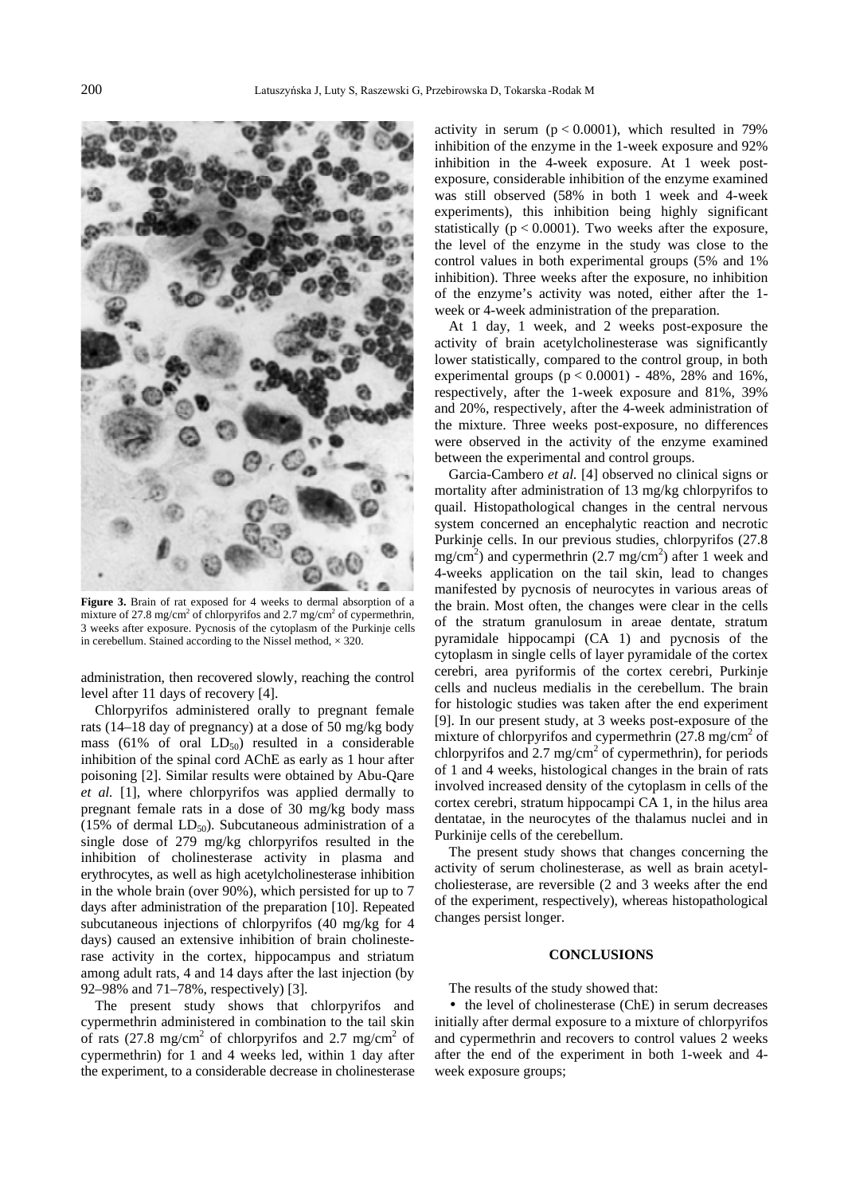

**Figure 3.** Brain of rat exposed for 4 weeks to dermal absorption of a mixture of 27.8 mg/cm<sup>2</sup> of chlorpyrifos and 2.7 mg/cm<sup>2</sup> of cypermethrin, 3 weeks after exposure. Pycnosis of the cytoplasm of the Purkinje cells in cerebellum. Stained according to the Nissel method,  $\times$  320.

administration, then recovered slowly, reaching the control level after 11 days of recovery [4].

Chlorpyrifos administered orally to pregnant female rats (14–18 day of pregnancy) at a dose of 50 mg/kg body mass (61% of oral  $LD_{50}$ ) resulted in a considerable inhibition of the spinal cord AChE as early as 1 hour after poisoning [2]. Similar results were obtained by Abu-Qare *et al.* [1], where chlorpyrifos was applied dermally to pregnant female rats in a dose of 30 mg/kg body mass (15% of dermal  $LD_{50}$ ). Subcutaneous administration of a single dose of 279 mg/kg chlorpyrifos resulted in the inhibition of cholinesterase activity in plasma and erythrocytes, as well as high acetylcholinesterase inhibition in the whole brain (over 90%), which persisted for up to 7 days after administration of the preparation [10]. Repeated subcutaneous injections of chlorpyrifos (40 mg/kg for 4 days) caused an extensive inhibition of brain cholinesterase activity in the cortex, hippocampus and striatum among adult rats, 4 and 14 days after the last injection (by 92–98% and 71–78%, respectively) [3].

The present study shows that chlorpyrifos and cypermethrin administered in combination to the tail skin of rats  $(27.8 \text{ mg/cm}^2)$  of chlorpyrifos and 2.7 mg/cm<sup>2</sup> of cypermethrin) for 1 and 4 weeks led, within 1 day after the experiment, to a considerable decrease in cholinesterase

activity in serum  $(p < 0.0001)$ , which resulted in 79% inhibition of the enzyme in the 1-week exposure and 92% inhibition in the 4-week exposure. At 1 week postexposure, considerable inhibition of the enzyme examined was still observed (58% in both 1 week and 4-week experiments), this inhibition being highly significant statistically ( $p < 0.0001$ ). Two weeks after the exposure, the level of the enzyme in the study was close to the control values in both experimental groups (5% and 1% inhibition). Three weeks after the exposure, no inhibition of the enzyme's activity was noted, either after the 1 week or 4-week administration of the preparation.

At 1 day, 1 week, and 2 weeks post-exposure the activity of brain acetylcholinesterase was significantly lower statistically, compared to the control group, in both experimental groups  $(p < 0.0001)$  - 48%, 28% and 16%, respectively, after the 1-week exposure and 81%, 39% and 20%, respectively, after the 4-week administration of the mixture. Three weeks post-exposure, no differences were observed in the activity of the enzyme examined between the experimental and control groups.

Garcia-Cambero *et al.* [4] observed no clinical signs or mortality after administration of 13 mg/kg chlorpyrifos to quail. Histopathological changes in the central nervous system concerned an encephalytic reaction and necrotic Purkinje cells. In our previous studies, chlorpyrifos (27.8  $mg/cm<sup>2</sup>$ ) and cypermethrin (2.7 mg/cm<sup>2</sup>) after 1 week and 4-weeks application on the tail skin, lead to changes manifested by pycnosis of neurocytes in various areas of the brain. Most often, the changes were clear in the cells of the stratum granulosum in areae dentate, stratum pyramidale hippocampi (CA 1) and pycnosis of the cytoplasm in single cells of layer pyramidale of the cortex cerebri, area pyriformis of the cortex cerebri, Purkinje cells and nucleus medialis in the cerebellum. The brain for histologic studies was taken after the end experiment [9]. In our present study, at 3 weeks post-exposure of the mixture of chlorpyrifos and cypermethrin  $(27.8 \text{ mg/cm}^2)$ chlorpyrifos and  $2.7 \text{ mg/cm}^2$  of cypermethrin), for periods of 1 and 4 weeks, histological changes in the brain of rats involved increased density of the cytoplasm in cells of the cortex cerebri, stratum hippocampi CA 1, in the hilus area dentatae, in the neurocytes of the thalamus nuclei and in Purkinije cells of the cerebellum.

The present study shows that changes concerning the activity of serum cholinesterase, as well as brain acetylcholiesterase, are reversible (2 and 3 weeks after the end of the experiment, respectively), whereas histopathological changes persist longer.

## **CONCLUSIONS**

The results of the study showed that:

• the level of cholinesterase (ChE) in serum decreases initially after dermal exposure to a mixture of chlorpyrifos and cypermethrin and recovers to control values 2 weeks after the end of the experiment in both 1-week and 4 week exposure groups;